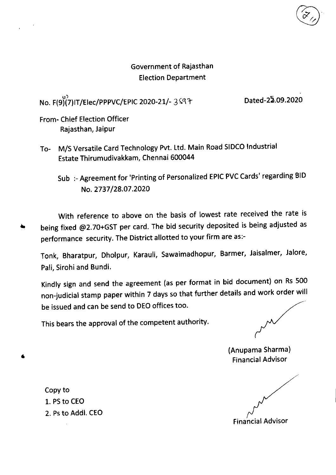#### Government of Rajasthan **Election Department**

## No. F(9)(7)IT/Elec/PPPVC/EPIC 2020-21/- 3597

Dated-22.09.2020

From- Chief Election Officer Rajasthan, Jaipur

- To- M/S Versatile Card Technology Pvt. Ltd. Main Road SIDCO Industrial Estate Thirumudivakkam, Chennai 600044
	- Sub: Agreement for 'Printing of Personalized EPIC PVC Cards' regarding BID No. 2737/28.07.2020

With reference to above on the basis of lowest rate received the rate is being fixed @2.70+GST per card. The bid security deposited is being adjusted as performance security. The District allotted to your firm are as:-

Tonk, Bharatpur, Dholpur, Karauli, Sawaimadhopur, Barmer, Jaisalmer, Jalore, Pali, Sirohi and Bundi.

Kindly sign and send the agreement (as per format in bid document) on Rs 500 non-judicial stamp paper within 7 days so that further details and work order will be issued and can be send to DEO offices too.

This bears the approval of the competent authority.

(Anupama Sharma) **Financial Advisor** 

**Financial Advisor** 

Copy to 1. PS to CEO 2. Ps to Addi. CEO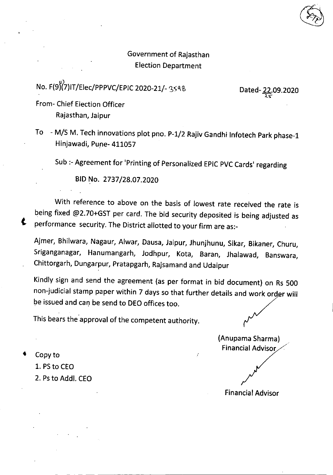### Government of Rajasthan **Election Department**

# No. F(9)(7)IT/Elec/PPPVC/EPIC 2020-21/- 3548

Dated-22.09.2020

From- Chief Election Officer Rajasthan, Jaipur

To - M/S M. Tech innovations plot pno. P-1/2 Rajiv Gandhi Infotech Park phase-1 Hinjawadi, Pune- 411057

Sub :- Agreement for 'Printing of Personalized EPIC PVC Cards' regarding

BID No. 2737/28.07.2020

With reference to above on the basis of lowest rate received the rate is being fixed @2.70+GST per card. The bid security deposited is being adjusted as performance security. The District allotted to your firm are as:-

Ajmer, Bhilwara, Nagaur, Alwar, Dausa, Jaipur, Jhunjhunu, Sikar, Bikaner, Churu, Sriganganagar, Hanumangarh, Jodhpur, Kota, Baran, Jhalawad, Banswara, Chittorgarh, Dungarpur, Pratapgarh, Rajsamand and Udaipur

Kindly sign and send the agreement (as per format in bid document) on Rs 500 non-judicial stamp paper within 7 days so that further details and work order will be issued and can be send to DEO offices too.

This bears the approval of the competent authority.

(Anupama Sharma) **Financial Advisor** 

**Financial Advisor** 

Copy to

Ł

- 1. PS to CEO
- 2. Ps to Addl. CEO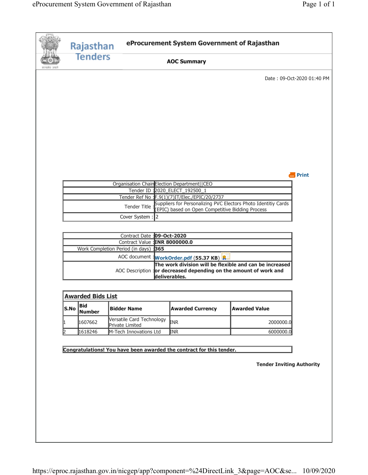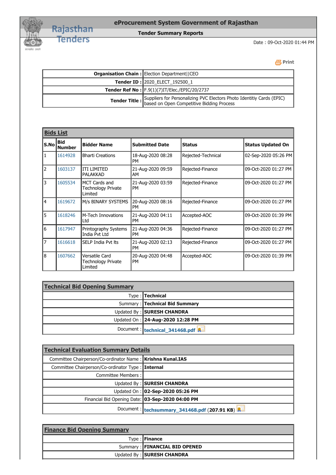

#### **Tender Summary Reports**

Date : 09-Oct-2020 01:44 PM

| <b>Organisation Chain: Election Department  CEO</b>                                                                                      |  |
|------------------------------------------------------------------------------------------------------------------------------------------|--|
| <b>Tender ID: 2020_ELECT_192500_1</b>                                                                                                    |  |
| Tender Ref No : F.9(1)(7)IT/Elec./EPIC/20/2737                                                                                           |  |
| <b>Tender Title :</b> Suppliers for Personalizing PVC Electors Photo Identitiy Cards (EPIC)<br>based on Open Competitive Bidding Process |  |

| <b>Bids List</b> |                      |                                                              |                                |                    |                          |
|------------------|----------------------|--------------------------------------------------------------|--------------------------------|--------------------|--------------------------|
| S.No             | Bid<br><b>Number</b> | <b>Bidder Name</b>                                           | <b>Submitted Date</b>          | <b>Status</b>      | <b>Status Updated On</b> |
| 1                | 1614928              | <b>Bharti Creations</b>                                      | 18-Aug-2020 08:28<br><b>PM</b> | Rejected-Technical | 02-Sep-2020 05:26 PM     |
| 2                | 1603137              | <b>ITI LIMITED</b><br>PALAKKAD                               | 21-Aug-2020 09:59<br>AM        | Rejected-Finance   | 09-Oct-2020 01:27 PM     |
| 3                | 1605534              | <b>MCT Cards and</b><br><b>Technology Private</b><br>Limited | 21-Aug-2020 03:59<br><b>PM</b> | Rejected-Finance   | 09-Oct-2020 01:27 PM     |
| 4                | 1619672              | M/s BINARY SYSTEMS                                           | 20-Aug-2020 08:16<br><b>PM</b> | Rejected-Finance   | 09-Oct-2020 01:27 PM     |
| 5                | 1618246              | M-Tech Innovations<br>Ltd                                    | 21-Aug-2020 04:11<br><b>PM</b> | Accepted-AOC       | 09-Oct-2020 01:39 PM     |
| 6                | 1617947              | Printography Systems<br>India Pvt Ltd                        | 21-Aug-2020 04:36<br><b>PM</b> | Rejected-Finance   | 09-Oct-2020 01:27 PM     |
| 7                | 1616618              | SELP India Pvt lts                                           | 21-Aug-2020 02:13<br><b>PM</b> | Rejected-Finance   | 09-Oct-2020 01:27 PM     |
| 8                | 1607662              | Versatile Card<br><b>Technology Private</b><br>Limited       | 20-Aug-2020 04:48<br><b>PM</b> | Accepted-AOC       | 09-Oct-2020 01:39 PM     |

| <b>Technical Bid Opening Summary</b> |                                   |  |
|--------------------------------------|-----------------------------------|--|
|                                      | Type: Technical                   |  |
|                                      | Summary: Technical Bid Summary    |  |
|                                      | Updated By: SURESH CHANDRA        |  |
|                                      | Updated On : 24-Aug-2020 12:28 PM |  |
|                                      | Document: technical 341468.pdf    |  |

| <b>Technical Evaluation Summary Details</b>                  |                                              |  |
|--------------------------------------------------------------|----------------------------------------------|--|
| Committee Chairperson/Co-ordinator Name:   Krishna Kunal.IAS |                                              |  |
| Committee Chairperson/Co-ordinator Type:   Internal          |                                              |  |
| Committee Members : I                                        |                                              |  |
|                                                              | Updated By: SURESH CHANDRA                   |  |
|                                                              | Updated On : 02-Sep-2020 05:26 PM            |  |
| Financial Bid Opening Date: 03-Sep-2020 04:00 PM             |                                              |  |
|                                                              | Document: techsummary_341468.pdf (207.91 KB) |  |

| <b>Finance Bid Opening Summary</b> |                               |  |
|------------------------------------|-------------------------------|--|
|                                    | Type : Finance                |  |
|                                    | Summary: FINANCIAL BID OPENED |  |
|                                    | Updated By: SURESH CHANDRA    |  |